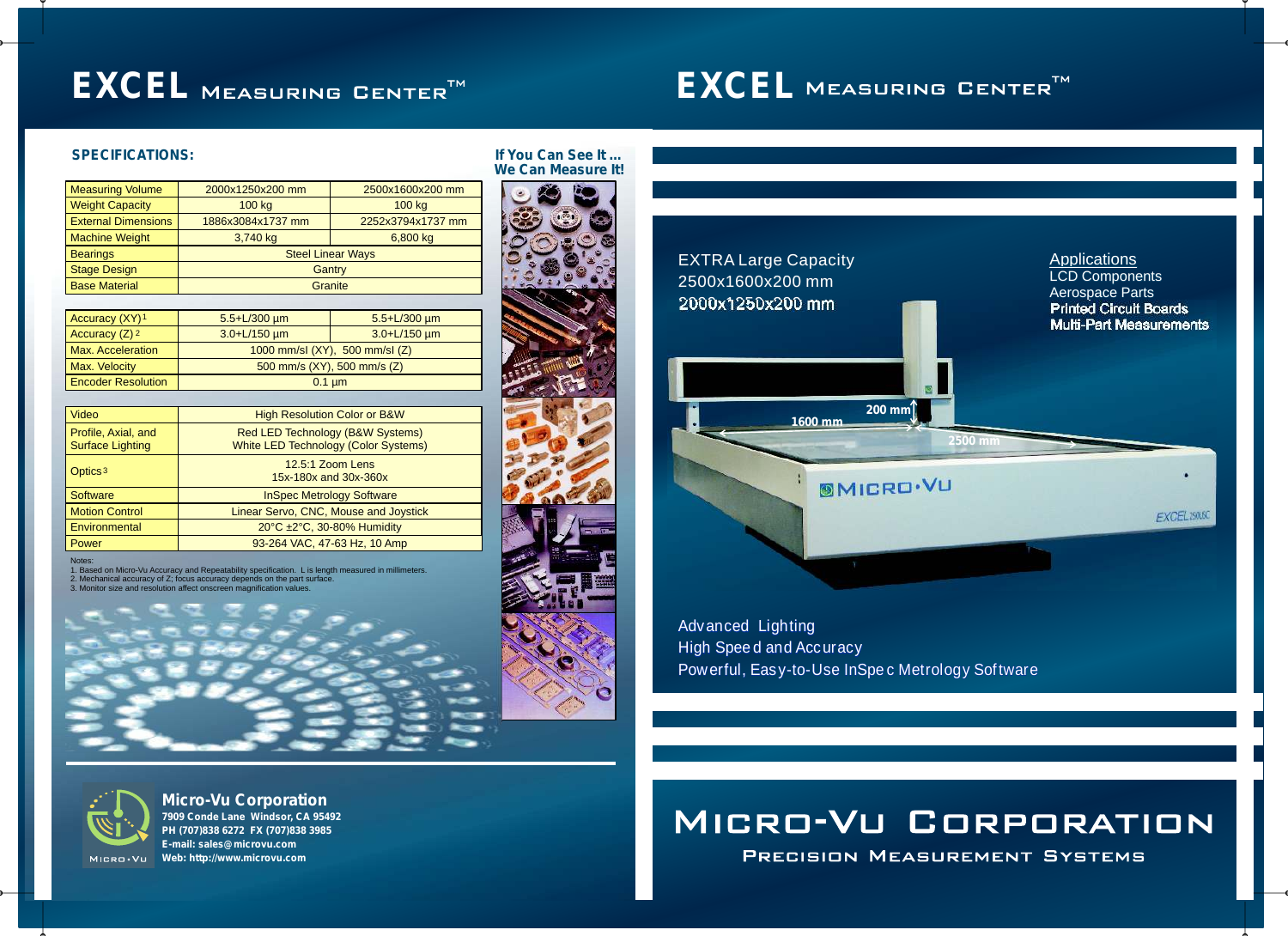# **EXCEL** MEASURING CENTER<sup>TM</sup>

# **Micro-Vu Corporation**

**7909 Conde Lane Windsor, CA 95492 PH (707)838 6272 FX (707)838 3985 E-mail: sales@microvu.com Web: http://www.microvu.com**

Advanced Lighting Advanced High Speed and Accuracy

PRECISION MEASUREMENT SYSTEMS

# EXTRA Large Capacity 2500x1600x200 mm 2000x1250x200 mm



| <b>Measuring Volume</b>    | 2000x1250x200 mm         | 2500x1600x200 mm  |
|----------------------------|--------------------------|-------------------|
| <b>Weight Capacity</b>     | 100 kg                   | 100 kg            |
| <b>External Dimensions</b> | 1886x3084x1737 mm        | 2252x3794x1737 mm |
| <b>Machine Weight</b>      | 3,740 kg                 | 6,800 kg          |
| <b>Bearings</b>            | <b>Steel Linear Ways</b> |                   |
| <b>Stage Design</b>        | Gantry                   |                   |
| <b>Base Material</b>       | Granite                  |                   |

## **SPECIFICATIONS: If You Can See It … We Can Measure It!**







| Accuracy (XY) <sup>1</sup>  | $5.5 + L/300 \mu m$          | $5.5 + L/300 \mu m$ |
|-----------------------------|------------------------------|---------------------|
| Accuracy $(Z)$ <sup>2</sup> | $3.0 + L/150$ µm             | $3.0 + L/150 \mu m$ |
| <b>Max. Acceleration</b>    | 1000 mm/s (XY), 500 mm/s (Z) |                     |
| Max. Velocity               | 500 mm/s (XY), 500 mm/s (Z)  |                     |
| <b>Encoder Resolution</b>   | $0.1 \mu m$                  |                     |

| <b>Video</b>                                   | <b>High Resolution Color or B&amp;W</b>                                         |
|------------------------------------------------|---------------------------------------------------------------------------------|
| Profile, Axial, and<br><b>Surface Lighting</b> | Red LED Technology (B&W Systems)<br><b>White LED Technology (Color Systems)</b> |
| Optics <sup>3</sup>                            | 12.5:1 Zoom Lens<br>15x-180x and 30x-360x                                       |
| <b>Software</b>                                | <b>InSpec Metrology Software</b>                                                |
| <b>Motion Control</b>                          | Linear Servo, CNC, Mouse and Joystick                                           |
| Environmental                                  | 20°C ±2°C, 30-80% Humidity                                                      |
| Power                                          | 93-264 VAC, 47-63 Hz, 10 Amp                                                    |
|                                                |                                                                                 |

Notes:

1. Based on Micro-Vu Accuracy and Repeatability specification. L is length measured in millimeters.

2. Mechanical accuracy of Z; focus accuracy depends on the part surface.

3. Monitor size and resolution affect onscreen magnification values.